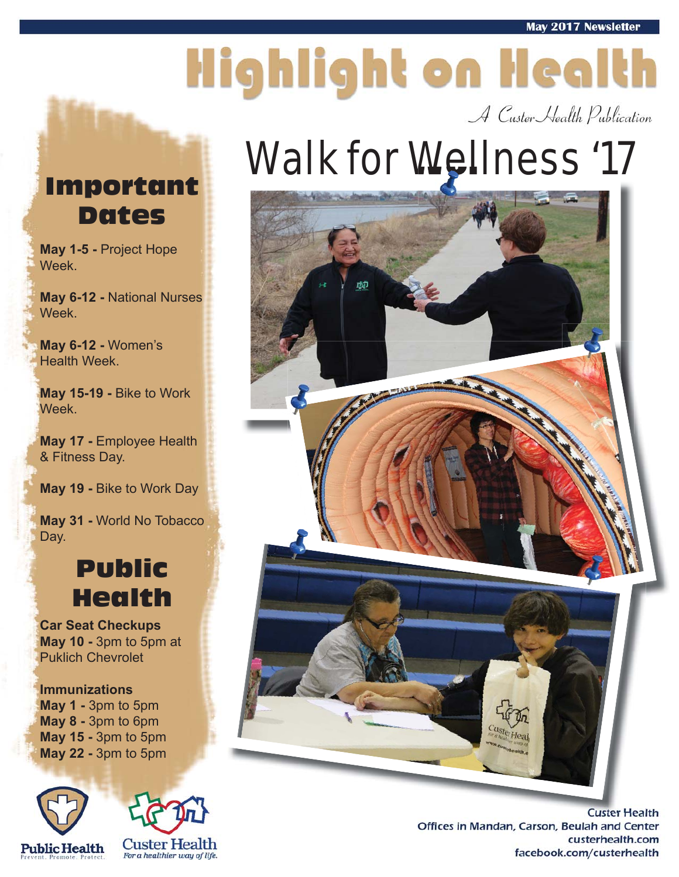# Highlight on Health

A Custer Health Publication

### Walk for Wellness '17



#### Important Dates

**May 1-5 -** Project Hope Week.

**May 6-12 -** National Nurses Week.

**May 6-12 -** Women's Health Week.

**May 15-19 -** Bike to Work Week.

**May 17 -** Employee Health & Fitness Day.

**May 19 -** Bike to Work Day

**May 31 -** World No Tobacco Day.

#### Public Health

**Car Seat Checkups May 10 -** 3pm to 5pm at Puklich Chevrolet

**Immunizations May 1 -** 3pm to 5pm **May 8 -** 3pm to 6pm **May 15 -** 3pm to 5pm **May 22 -** 3pm to 5pm





**Custer Health** Offices in Mandan, Carson, Beulah and Center custerhealth.com facebook.com/custerhealth